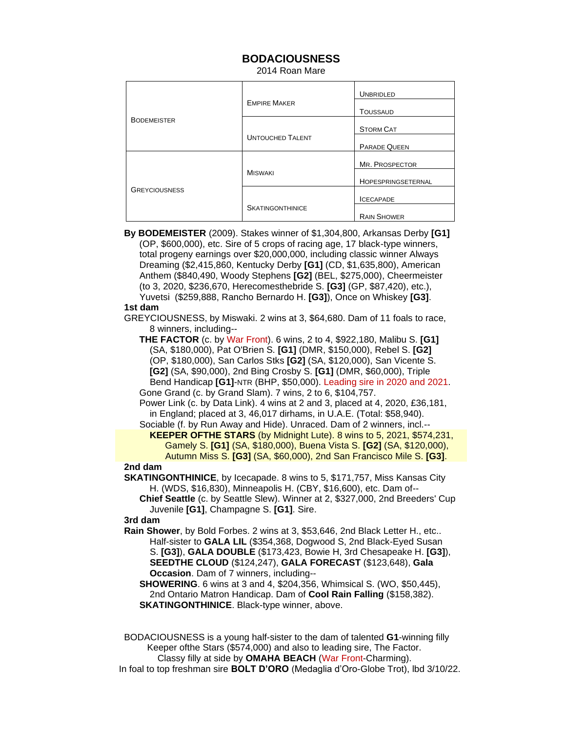# **BODACIOUSNESS**

2014 Roan Mare

|                      |                         | <b>UNBRIDLED</b>    |
|----------------------|-------------------------|---------------------|
| <b>BODEMEISTER</b>   | <b>EMPIRE MAKER</b>     | <b>TOUSSAUD</b>     |
|                      |                         | <b>STORM CAT</b>    |
|                      | <b>UNTOUCHED TALENT</b> | <b>PARADE QUEEN</b> |
| <b>GREYCIOUSNESS</b> | <b>MISWAKI</b>          | MR. PROSPECTOR      |
|                      |                         | HOPESPRINGSETERNAL  |
|                      |                         | <b>ICECAPADE</b>    |
|                      | <b>SKATINGONTHINICE</b> | <b>RAIN SHOWER</b>  |

 **By BODEMEISTER** (2009). Stakes winner of \$1,304,800, Arkansas Derby **[G1]** (OP, \$600,000), etc. Sire of 5 crops of racing age, 17 black-type winners, total progeny earnings over \$20,000,000, including classic winner Always Dreaming (\$2,415,860, Kentucky Derby **[G1]** (CD, \$1,635,800), American Anthem (\$840,490, Woody Stephens **[G2]** (BEL, \$275,000), Cheermeister (to 3, 2020, \$236,670, Herecomesthebride S. **[G3]** (GP, \$87,420), etc.), Yuvetsi (\$259,888, Rancho Bernardo H. **[G3]**), Once on Whiskey **[G3]**.

#### **1st dam**

 GREYCIOUSNESS, by Miswaki. 2 wins at 3, \$64,680. Dam of 11 foals to race, 8 winners, including--

 **THE FACTOR** (c. by War Front). 6 wins, 2 to 4, \$922,180, Malibu S. **[G1]** (SA, \$180,000), Pat O'Brien S. **[G1]** (DMR, \$150,000), Rebel S. **[G2]** (OP, \$180,000), San Carlos Stks **[G2]** (SA, \$120,000), San Vicente S. **[G2]** (SA, \$90,000), 2nd Bing Crosby S. **[G1]** (DMR, \$60,000), Triple Bend Handicap **[G1]**-NTR (BHP, \$50,000). Leading sire in 2020 and 2021. Gone Grand (c. by Grand Slam). 7 wins, 2 to 6, \$104,757.

 Power Link (c. by Data Link). 4 wins at 2 and 3, placed at 4, 2020, £36,181, in England; placed at 3, 46,017 dirhams, in U.A.E. (Total: \$58,940).

Sociable (f. by Run Away and Hide). Unraced. Dam of 2 winners, incl.--

 **KEEPER OFTHE STARS** (by Midnight Lute). 8 wins to 5, 2021, \$574,231, Gamely S. **[G1]** (SA, \$180,000), Buena Vista S. **[G2]** (SA, \$120,000), Autumn Miss S. **[G3]** (SA, \$60,000), 2nd San Francisco Mile S. **[G3]**.

## **2nd dam**

 **SKATINGONTHINICE**, by Icecapade. 8 wins to 5, \$171,757, Miss Kansas City H. (WDS, \$16,830), Minneapolis H. (CBY, \$16,600), etc. Dam of--

 **Chief Seattle** (c. by Seattle Slew). Winner at 2, \$327,000, 2nd Breeders' Cup Juvenile **[G1]**, Champagne S. **[G1]**. Sire.

### **3rd dam**

 **Rain Shower**, by Bold Forbes. 2 wins at 3, \$53,646, 2nd Black Letter H., etc.. Half-sister to **GALA LIL** (\$354,368, Dogwood S, 2nd Black-Eyed Susan S. **[G3]**), **GALA DOUBLE** (\$173,423, Bowie H, 3rd Chesapeake H. **[G3]**), **SEEDTHE CLOUD** (\$124,247), **GALA FORECAST** (\$123,648), **Gala Occasion**. Dam of 7 winners, including--

 **SHOWERING**. 6 wins at 3 and 4, \$204,356, Whimsical S. (WO, \$50,445), 2nd Ontario Matron Handicap. Dam of **Cool Rain Falling** (\$158,382). **SKATINGONTHINICE**. Black-type winner, above.

BODACIOUSNESS is a young half-sister to the dam of talented **G1**-winning filly Keeper ofthe Stars (\$574,000) and also to leading sire, The Factor. Classy filly at side by **OMAHA BEACH** (War Front-Charming).

In foal to top freshman sire **BOLT D'ORO** (Medaglia d'Oro-Globe Trot), lbd 3/10/22.